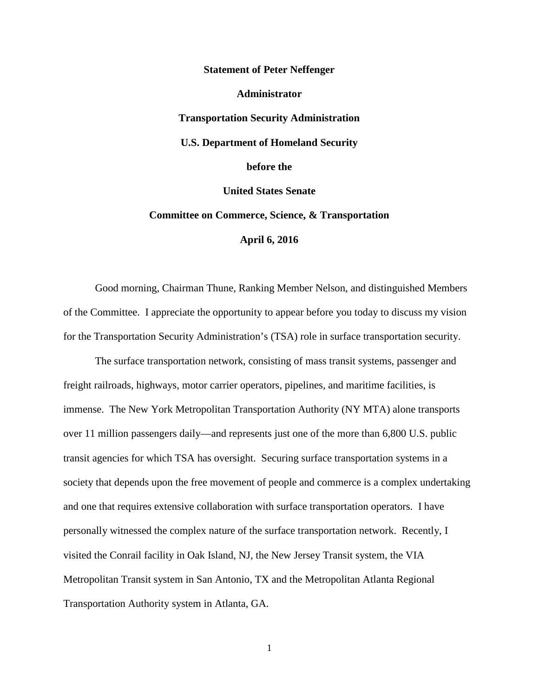**Statement of Peter Neffenger Administrator Transportation Security Administration U.S. Department of Homeland Security before the United States Senate Committee on Commerce, Science, & Transportation April 6, 2016**

Good morning, Chairman Thune, Ranking Member Nelson, and distinguished Members of the Committee. I appreciate the opportunity to appear before you today to discuss my vision for the Transportation Security Administration's (TSA) role in surface transportation security.

The surface transportation network, consisting of mass transit systems, passenger and freight railroads, highways, motor carrier operators, pipelines, and maritime facilities, is immense. The New York Metropolitan Transportation Authority (NY MTA) alone transports over 11 million passengers daily—and represents just one of the more than 6,800 U.S. public transit agencies for which TSA has oversight. Securing surface transportation systems in a society that depends upon the free movement of people and commerce is a complex undertaking and one that requires extensive collaboration with surface transportation operators. I have personally witnessed the complex nature of the surface transportation network. Recently, I visited the Conrail facility in Oak Island, NJ, the New Jersey Transit system, the VIA Metropolitan Transit system in San Antonio, TX and the Metropolitan Atlanta Regional Transportation Authority system in Atlanta, GA.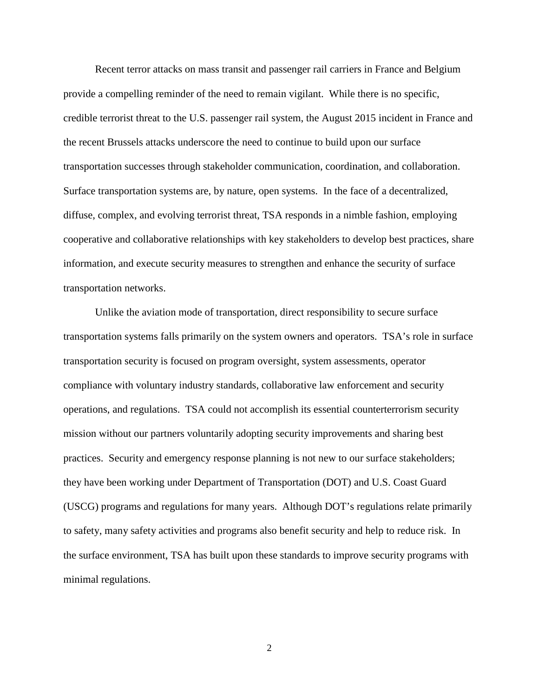Recent terror attacks on mass transit and passenger rail carriers in France and Belgium provide a compelling reminder of the need to remain vigilant. While there is no specific, credible terrorist threat to the U.S. passenger rail system, the August 2015 incident in France and the recent Brussels attacks underscore the need to continue to build upon our surface transportation successes through stakeholder communication, coordination, and collaboration. Surface transportation systems are, by nature, open systems. In the face of a decentralized, diffuse, complex, and evolving terrorist threat, TSA responds in a nimble fashion, employing cooperative and collaborative relationships with key stakeholders to develop best practices, share information, and execute security measures to strengthen and enhance the security of surface transportation networks.

Unlike the aviation mode of transportation, direct responsibility to secure surface transportation systems falls primarily on the system owners and operators. TSA's role in surface transportation security is focused on program oversight, system assessments, operator compliance with voluntary industry standards, collaborative law enforcement and security operations, and regulations. TSA could not accomplish its essential counterterrorism security mission without our partners voluntarily adopting security improvements and sharing best practices. Security and emergency response planning is not new to our surface stakeholders; they have been working under Department of Transportation (DOT) and U.S. Coast Guard (USCG) programs and regulations for many years. Although DOT's regulations relate primarily to safety, many safety activities and programs also benefit security and help to reduce risk. In the surface environment, TSA has built upon these standards to improve security programs with minimal regulations.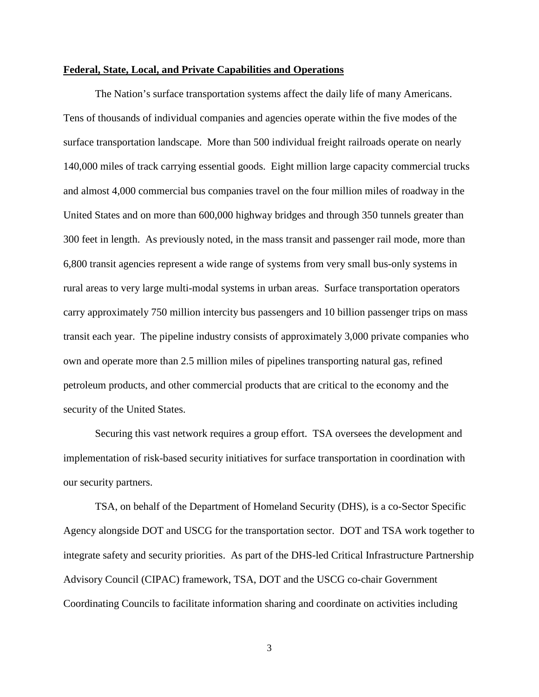## **Federal, State, Local, and Private Capabilities and Operations**

The Nation's surface transportation systems affect the daily life of many Americans. Tens of thousands of individual companies and agencies operate within the five modes of the surface transportation landscape. More than 500 individual freight railroads operate on nearly 140,000 miles of track carrying essential goods. Eight million large capacity commercial trucks and almost 4,000 commercial bus companies travel on the four million miles of roadway in the United States and on more than 600,000 highway bridges and through 350 tunnels greater than 300 feet in length. As previously noted, in the mass transit and passenger rail mode, more than 6,800 transit agencies represent a wide range of systems from very small bus-only systems in rural areas to very large multi-modal systems in urban areas. Surface transportation operators carry approximately 750 million intercity bus passengers and 10 billion passenger trips on mass transit each year. The pipeline industry consists of approximately 3,000 private companies who own and operate more than 2.5 million miles of pipelines transporting natural gas, refined petroleum products, and other commercial products that are critical to the economy and the security of the United States.

Securing this vast network requires a group effort. TSA oversees the development and implementation of risk-based security initiatives for surface transportation in coordination with our security partners.

TSA, on behalf of the Department of Homeland Security (DHS), is a co-Sector Specific Agency alongside DOT and USCG for the transportation sector. DOT and TSA work together to integrate safety and security priorities. As part of the DHS-led Critical Infrastructure Partnership Advisory Council (CIPAC) framework, TSA, DOT and the USCG co-chair Government Coordinating Councils to facilitate information sharing and coordinate on activities including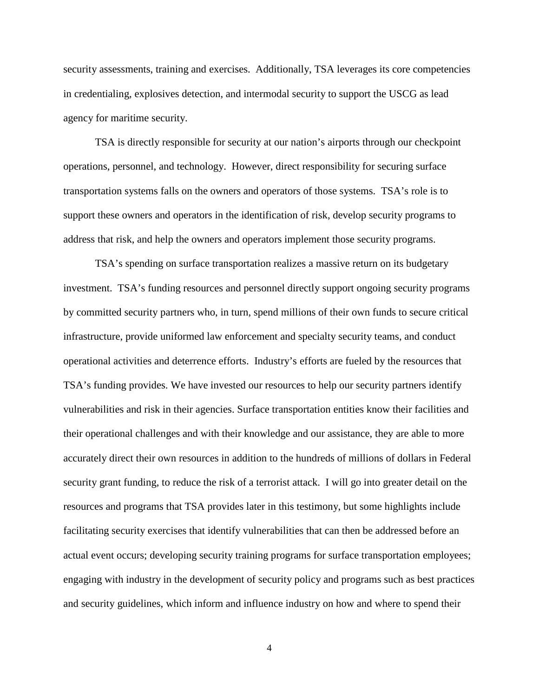security assessments, training and exercises. Additionally, TSA leverages its core competencies in credentialing, explosives detection, and intermodal security to support the USCG as lead agency for maritime security.

TSA is directly responsible for security at our nation's airports through our checkpoint operations, personnel, and technology. However, direct responsibility for securing surface transportation systems falls on the owners and operators of those systems. TSA's role is to support these owners and operators in the identification of risk, develop security programs to address that risk, and help the owners and operators implement those security programs.

TSA's spending on surface transportation realizes a massive return on its budgetary investment. TSA's funding resources and personnel directly support ongoing security programs by committed security partners who, in turn, spend millions of their own funds to secure critical infrastructure, provide uniformed law enforcement and specialty security teams, and conduct operational activities and deterrence efforts. Industry's efforts are fueled by the resources that TSA's funding provides. We have invested our resources to help our security partners identify vulnerabilities and risk in their agencies. Surface transportation entities know their facilities and their operational challenges and with their knowledge and our assistance, they are able to more accurately direct their own resources in addition to the hundreds of millions of dollars in Federal security grant funding, to reduce the risk of a terrorist attack. I will go into greater detail on the resources and programs that TSA provides later in this testimony, but some highlights include facilitating security exercises that identify vulnerabilities that can then be addressed before an actual event occurs; developing security training programs for surface transportation employees; engaging with industry in the development of security policy and programs such as best practices and security guidelines, which inform and influence industry on how and where to spend their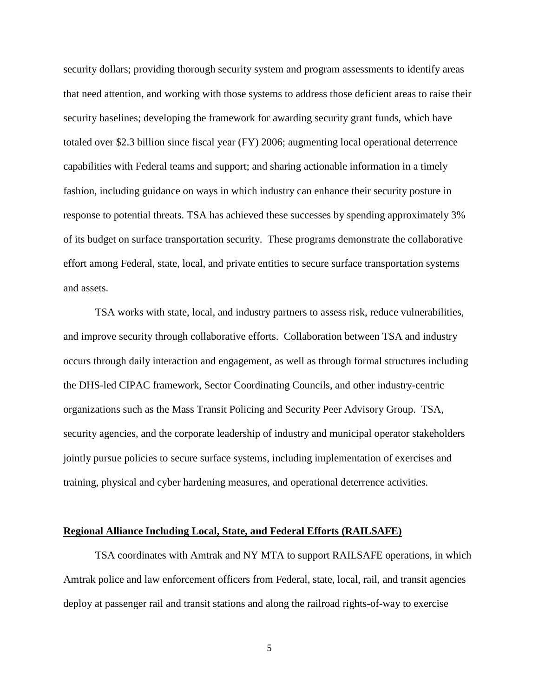security dollars; providing thorough security system and program assessments to identify areas that need attention, and working with those systems to address those deficient areas to raise their security baselines; developing the framework for awarding security grant funds, which have totaled over \$2.3 billion since fiscal year (FY) 2006; augmenting local operational deterrence capabilities with Federal teams and support; and sharing actionable information in a timely fashion, including guidance on ways in which industry can enhance their security posture in response to potential threats. TSA has achieved these successes by spending approximately 3% of its budget on surface transportation security. These programs demonstrate the collaborative effort among Federal, state, local, and private entities to secure surface transportation systems and assets.

TSA works with state, local, and industry partners to assess risk, reduce vulnerabilities, and improve security through collaborative efforts. Collaboration between TSA and industry occurs through daily interaction and engagement, as well as through formal structures including the DHS-led CIPAC framework, Sector Coordinating Councils, and other industry-centric organizations such as the Mass Transit Policing and Security Peer Advisory Group. TSA, security agencies, and the corporate leadership of industry and municipal operator stakeholders jointly pursue policies to secure surface systems, including implementation of exercises and training, physical and cyber hardening measures, and operational deterrence activities.

#### **Regional Alliance Including Local, State, and Federal Efforts (RAILSAFE)**

TSA coordinates with Amtrak and NY MTA to support RAILSAFE operations, in which Amtrak police and law enforcement officers from Federal, state, local, rail, and transit agencies deploy at passenger rail and transit stations and along the railroad rights-of-way to exercise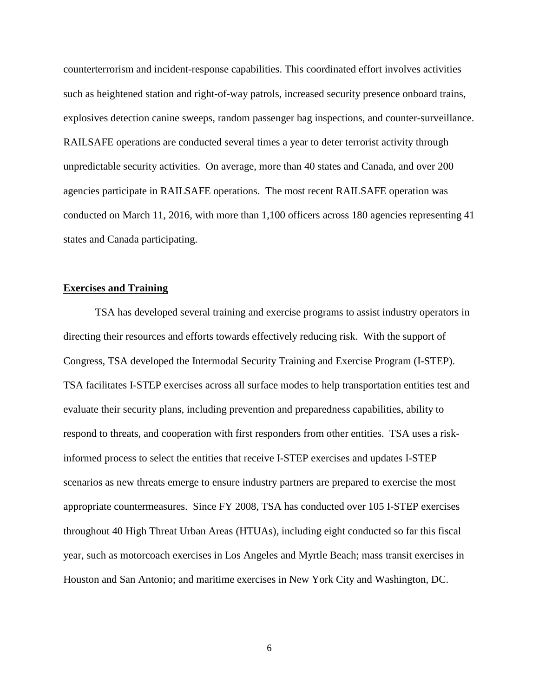counterterrorism and incident-response capabilities. This coordinated effort involves activities such as heightened station and right-of-way patrols, increased security presence onboard trains, explosives detection canine sweeps, random passenger bag inspections, and counter-surveillance. RAILSAFE operations are conducted several times a year to deter terrorist activity through unpredictable security activities. On average, more than 40 states and Canada, and over 200 agencies participate in RAILSAFE operations. The most recent RAILSAFE operation was conducted on March 11, 2016, with more than 1,100 officers across 180 agencies representing 41 states and Canada participating.

## **Exercises and Training**

TSA has developed several training and exercise programs to assist industry operators in directing their resources and efforts towards effectively reducing risk. With the support of Congress, TSA developed the Intermodal Security Training and Exercise Program (I-STEP). TSA facilitates I-STEP exercises across all surface modes to help transportation entities test and evaluate their security plans, including prevention and preparedness capabilities, ability to respond to threats, and cooperation with first responders from other entities. TSA uses a riskinformed process to select the entities that receive I-STEP exercises and updates I-STEP scenarios as new threats emerge to ensure industry partners are prepared to exercise the most appropriate countermeasures. Since FY 2008, TSA has conducted over 105 I-STEP exercises throughout 40 High Threat Urban Areas (HTUAs), including eight conducted so far this fiscal year, such as motorcoach exercises in Los Angeles and Myrtle Beach; mass transit exercises in Houston and San Antonio; and maritime exercises in New York City and Washington, DC.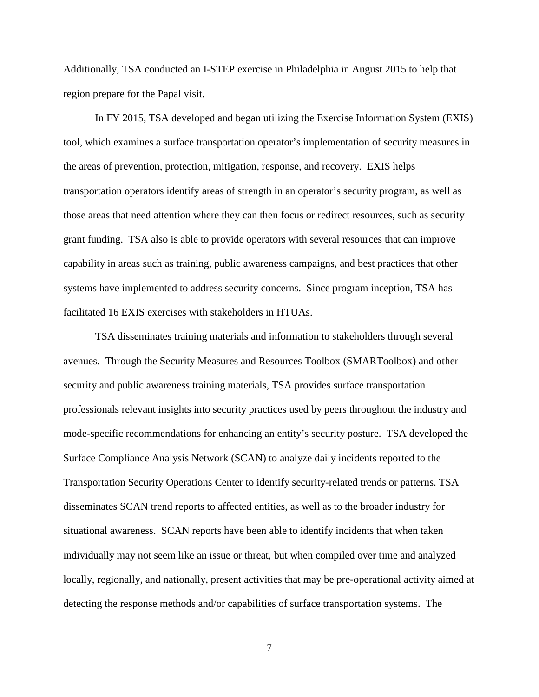Additionally, TSA conducted an I-STEP exercise in Philadelphia in August 2015 to help that region prepare for the Papal visit.

In FY 2015, TSA developed and began utilizing the Exercise Information System (EXIS) tool, which examines a surface transportation operator's implementation of security measures in the areas of prevention, protection, mitigation, response, and recovery. EXIS helps transportation operators identify areas of strength in an operator's security program, as well as those areas that need attention where they can then focus or redirect resources, such as security grant funding. TSA also is able to provide operators with several resources that can improve capability in areas such as training, public awareness campaigns, and best practices that other systems have implemented to address security concerns. Since program inception, TSA has facilitated 16 EXIS exercises with stakeholders in HTUAs.

TSA disseminates training materials and information to stakeholders through several avenues. Through the Security Measures and Resources Toolbox (SMARToolbox) and other security and public awareness training materials, TSA provides surface transportation professionals relevant insights into security practices used by peers throughout the industry and mode-specific recommendations for enhancing an entity's security posture. TSA developed the Surface Compliance Analysis Network (SCAN) to analyze daily incidents reported to the Transportation Security Operations Center to identify security-related trends or patterns. TSA disseminates SCAN trend reports to affected entities, as well as to the broader industry for situational awareness. SCAN reports have been able to identify incidents that when taken individually may not seem like an issue or threat, but when compiled over time and analyzed locally, regionally, and nationally, present activities that may be pre-operational activity aimed at detecting the response methods and/or capabilities of surface transportation systems. The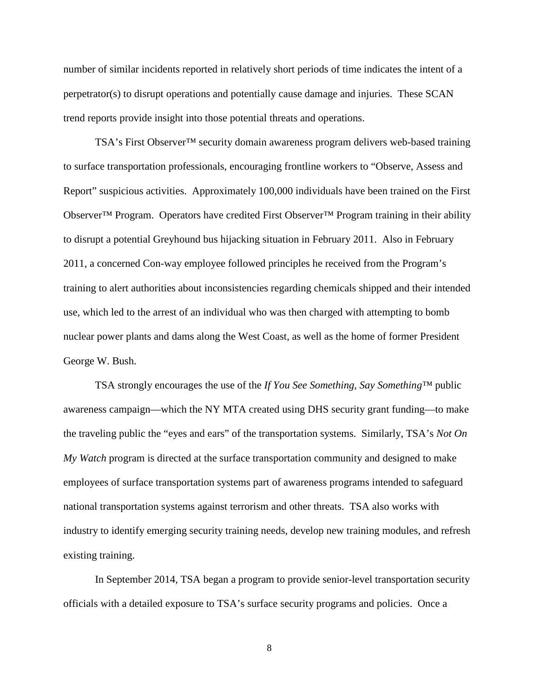number of similar incidents reported in relatively short periods of time indicates the intent of a perpetrator(s) to disrupt operations and potentially cause damage and injuries. These SCAN trend reports provide insight into those potential threats and operations.

TSA's First Observer™ security domain awareness program delivers web-based training to surface transportation professionals, encouraging frontline workers to "Observe, Assess and Report" suspicious activities. Approximately 100,000 individuals have been trained on the First Observer™ Program. Operators have credited First Observer™ Program training in their ability to disrupt a potential Greyhound bus hijacking situation in February 2011. Also in February 2011, a concerned Con-way employee followed principles he received from the Program's training to alert authorities about inconsistencies regarding chemicals shipped and their intended use, which led to the arrest of an individual who was then charged with attempting to bomb nuclear power plants and dams along the West Coast, as well as the home of former President George W. Bush.

TSA strongly encourages the use of the *If You See Something, Say Something™* public awareness campaign—which the NY MTA created using DHS security grant funding—to make the traveling public the "eyes and ears" of the transportation systems. Similarly, TSA's *Not On My Watch* program is directed at the surface transportation community and designed to make employees of surface transportation systems part of awareness programs intended to safeguard national transportation systems against terrorism and other threats. TSA also works with industry to identify emerging security training needs, develop new training modules, and refresh existing training.

In September 2014, TSA began a program to provide senior-level transportation security officials with a detailed exposure to TSA's surface security programs and policies. Once a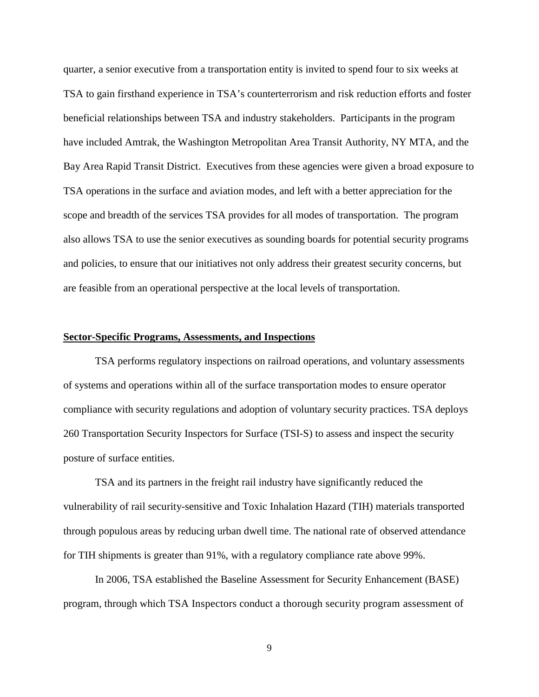quarter, a senior executive from a transportation entity is invited to spend four to six weeks at TSA to gain firsthand experience in TSA's counterterrorism and risk reduction efforts and foster beneficial relationships between TSA and industry stakeholders. Participants in the program have included Amtrak, the Washington Metropolitan Area Transit Authority, NY MTA, and the Bay Area Rapid Transit District. Executives from these agencies were given a broad exposure to TSA operations in the surface and aviation modes, and left with a better appreciation for the scope and breadth of the services TSA provides for all modes of transportation. The program also allows TSA to use the senior executives as sounding boards for potential security programs and policies, to ensure that our initiatives not only address their greatest security concerns, but are feasible from an operational perspective at the local levels of transportation.

## **Sector-Specific Programs, Assessments, and Inspections**

TSA performs regulatory inspections on railroad operations, and voluntary assessments of systems and operations within all of the surface transportation modes to ensure operator compliance with security regulations and adoption of voluntary security practices. TSA deploys 260 Transportation Security Inspectors for Surface (TSI-S) to assess and inspect the security posture of surface entities.

TSA and its partners in the freight rail industry have significantly reduced the vulnerability of rail security-sensitive and Toxic Inhalation Hazard (TIH) materials transported through populous areas by reducing urban dwell time. The national rate of observed attendance for TIH shipments is greater than 91%, with a regulatory compliance rate above 99%.

In 2006, TSA established the Baseline Assessment for Security Enhancement (BASE) program, through which TSA Inspectors conduct a thorough security program assessment of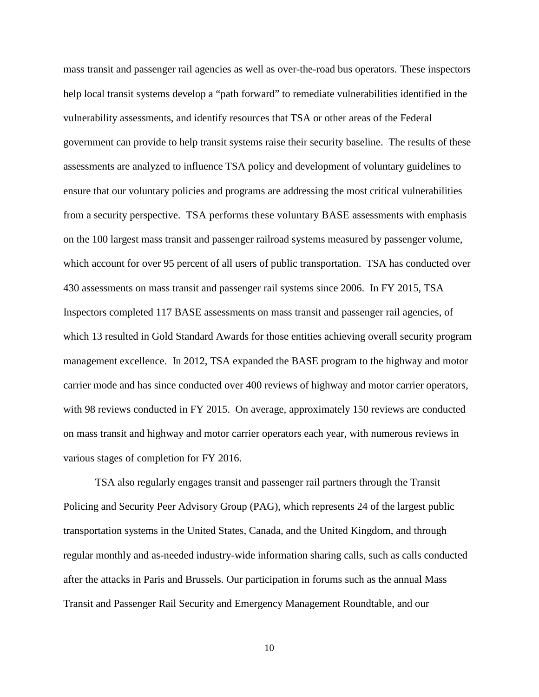mass transit and passenger rail agencies as well as over-the-road bus operators. These inspectors help local transit systems develop a "path forward" to remediate vulnerabilities identified in the vulnerability assessments, and identify resources that TSA or other areas of the Federal government can provide to help transit systems raise their security baseline. The results of these assessments are analyzed to influence TSA policy and development of voluntary guidelines to ensure that our voluntary policies and programs are addressing the most critical vulnerabilities from a security perspective. TSA performs these voluntary BASE assessments with emphasis on the 100 largest mass transit and passenger railroad systems measured by passenger volume, which account for over 95 percent of all users of public transportation. TSA has conducted over 430 assessments on mass transit and passenger rail systems since 2006. In FY 2015, TSA Inspectors completed 117 BASE assessments on mass transit and passenger rail agencies, of which 13 resulted in Gold Standard Awards for those entities achieving overall security program management excellence. In 2012, TSA expanded the BASE program to the highway and motor carrier mode and has since conducted over 400 reviews of highway and motor carrier operators, with 98 reviews conducted in FY 2015. On average, approximately 150 reviews are conducted on mass transit and highway and motor carrier operators each year, with numerous reviews in various stages of completion for FY 2016.

TSA also regularly engages transit and passenger rail partners through the Transit Policing and Security Peer Advisory Group (PAG), which represents 24 of the largest public transportation systems in the United States, Canada, and the United Kingdom, and through regular monthly and as-needed industry-wide information sharing calls, such as calls conducted after the attacks in Paris and Brussels. Our participation in forums such as the annual Mass Transit and Passenger Rail Security and Emergency Management Roundtable, and our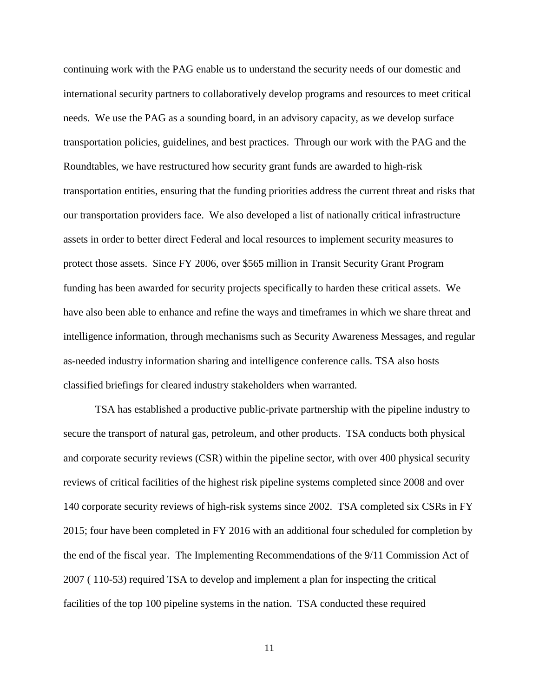continuing work with the PAG enable us to understand the security needs of our domestic and international security partners to collaboratively develop programs and resources to meet critical needs. We use the PAG as a sounding board, in an advisory capacity, as we develop surface transportation policies, guidelines, and best practices. Through our work with the PAG and the Roundtables, we have restructured how security grant funds are awarded to high-risk transportation entities, ensuring that the funding priorities address the current threat and risks that our transportation providers face. We also developed a list of nationally critical infrastructure assets in order to better direct Federal and local resources to implement security measures to protect those assets. Since FY 2006, over \$565 million in Transit Security Grant Program funding has been awarded for security projects specifically to harden these critical assets. We have also been able to enhance and refine the ways and timeframes in which we share threat and intelligence information, through mechanisms such as Security Awareness Messages, and regular as-needed industry information sharing and intelligence conference calls. TSA also hosts classified briefings for cleared industry stakeholders when warranted.

TSA has established a productive public-private partnership with the pipeline industry to secure the transport of natural gas, petroleum, and other products. TSA conducts both physical and corporate security reviews (CSR) within the pipeline sector, with over 400 physical security reviews of critical facilities of the highest risk pipeline systems completed since 2008 and over 140 corporate security reviews of high-risk systems since 2002. TSA completed six CSRs in FY 2015; four have been completed in FY 2016 with an additional four scheduled for completion by the end of the fiscal year. The Implementing Recommendations of the 9/11 Commission Act of 2007 ( 110-53) required TSA to develop and implement a plan for inspecting the critical facilities of the top 100 pipeline systems in the nation. TSA conducted these required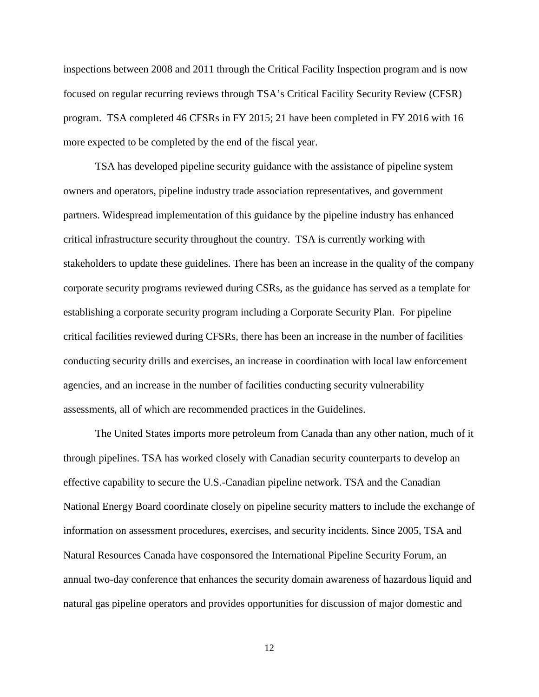inspections between 2008 and 2011 through the Critical Facility Inspection program and is now focused on regular recurring reviews through TSA's Critical Facility Security Review (CFSR) program. TSA completed 46 CFSRs in FY 2015; 21 have been completed in FY 2016 with 16 more expected to be completed by the end of the fiscal year.

TSA has developed pipeline security guidance with the assistance of pipeline system owners and operators, pipeline industry trade association representatives, and government partners. Widespread implementation of this guidance by the pipeline industry has enhanced critical infrastructure security throughout the country. TSA is currently working with stakeholders to update these guidelines. There has been an increase in the quality of the company corporate security programs reviewed during CSRs, as the guidance has served as a template for establishing a corporate security program including a Corporate Security Plan. For pipeline critical facilities reviewed during CFSRs, there has been an increase in the number of facilities conducting security drills and exercises, an increase in coordination with local law enforcement agencies, and an increase in the number of facilities conducting security vulnerability assessments, all of which are recommended practices in the Guidelines.

The United States imports more petroleum from Canada than any other nation, much of it through pipelines. TSA has worked closely with Canadian security counterparts to develop an effective capability to secure the U.S.-Canadian pipeline network. TSA and the Canadian National Energy Board coordinate closely on pipeline security matters to include the exchange of information on assessment procedures, exercises, and security incidents. Since 2005, TSA and Natural Resources Canada have cosponsored the International Pipeline Security Forum, an annual two-day conference that enhances the security domain awareness of hazardous liquid and natural gas pipeline operators and provides opportunities for discussion of major domestic and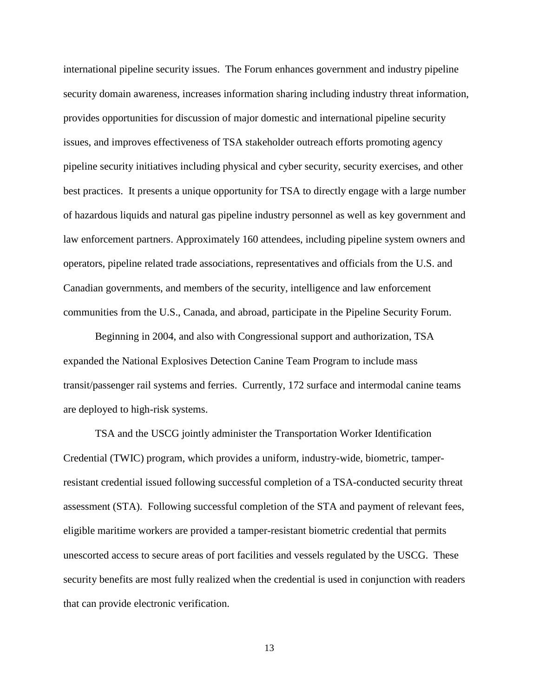international pipeline security issues. The Forum enhances government and industry pipeline security domain awareness, increases information sharing including industry threat information, provides opportunities for discussion of major domestic and international pipeline security issues, and improves effectiveness of TSA stakeholder outreach efforts promoting agency pipeline security initiatives including physical and cyber security, security exercises, and other best practices. It presents a unique opportunity for TSA to directly engage with a large number of hazardous liquids and natural gas pipeline industry personnel as well as key government and law enforcement partners. Approximately 160 attendees, including pipeline system owners and operators, pipeline related trade associations, representatives and officials from the U.S. and Canadian governments, and members of the security, intelligence and law enforcement communities from the U.S., Canada, and abroad, participate in the Pipeline Security Forum.

Beginning in 2004, and also with Congressional support and authorization, TSA expanded the National Explosives Detection Canine Team Program to include mass transit/passenger rail systems and ferries. Currently, 172 surface and intermodal canine teams are deployed to high-risk systems.

TSA and the USCG jointly administer the Transportation Worker Identification Credential (TWIC) program, which provides a uniform, industry-wide, biometric, tamperresistant credential issued following successful completion of a TSA-conducted security threat assessment (STA). Following successful completion of the STA and payment of relevant fees, eligible maritime workers are provided a tamper-resistant biometric credential that permits unescorted access to secure areas of port facilities and vessels regulated by the USCG. These security benefits are most fully realized when the credential is used in conjunction with readers that can provide electronic verification.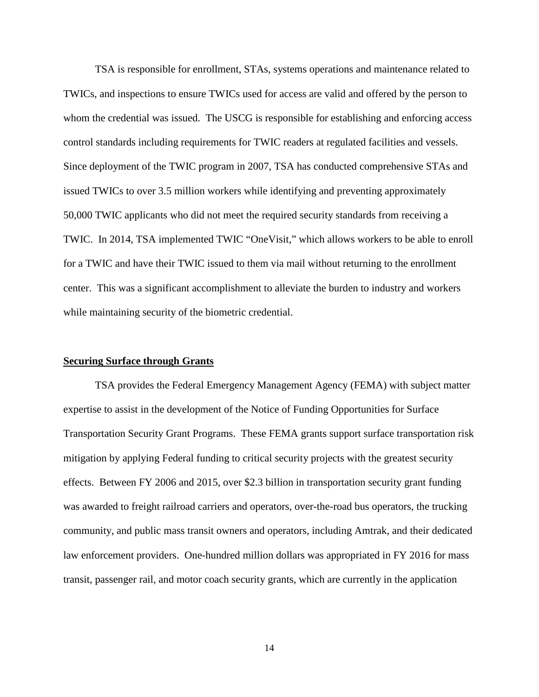TSA is responsible for enrollment, STAs, systems operations and maintenance related to TWICs, and inspections to ensure TWICs used for access are valid and offered by the person to whom the credential was issued. The USCG is responsible for establishing and enforcing access control standards including requirements for TWIC readers at regulated facilities and vessels. Since deployment of the TWIC program in 2007, TSA has conducted comprehensive STAs and issued TWICs to over 3.5 million workers while identifying and preventing approximately 50,000 TWIC applicants who did not meet the required security standards from receiving a TWIC. In 2014, TSA implemented TWIC "OneVisit," which allows workers to be able to enroll for a TWIC and have their TWIC issued to them via mail without returning to the enrollment center. This was a significant accomplishment to alleviate the burden to industry and workers while maintaining security of the biometric credential.

## **Securing Surface through Grants**

TSA provides the Federal Emergency Management Agency (FEMA) with subject matter expertise to assist in the development of the Notice of Funding Opportunities for Surface Transportation Security Grant Programs. These FEMA grants support surface transportation risk mitigation by applying Federal funding to critical security projects with the greatest security effects. Between FY 2006 and 2015, over \$2.3 billion in transportation security grant funding was awarded to freight railroad carriers and operators, over-the-road bus operators, the trucking community, and public mass transit owners and operators, including Amtrak, and their dedicated law enforcement providers. One-hundred million dollars was appropriated in FY 2016 for mass transit, passenger rail, and motor coach security grants, which are currently in the application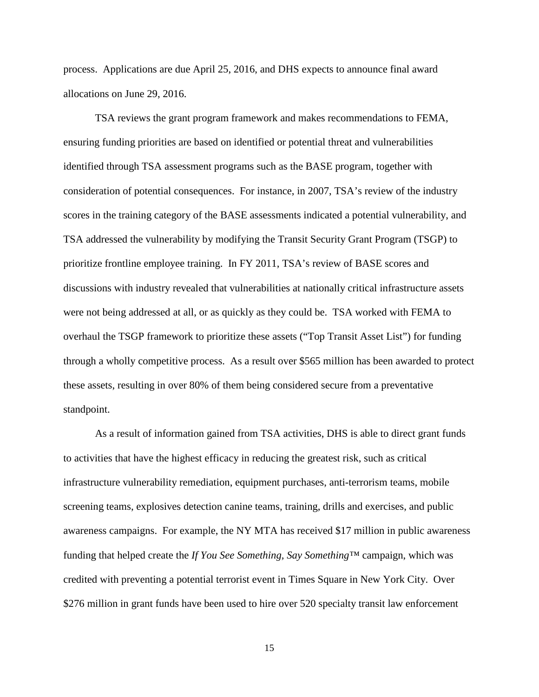process. Applications are due April 25, 2016, and DHS expects to announce final award allocations on June 29, 2016.

TSA reviews the grant program framework and makes recommendations to FEMA, ensuring funding priorities are based on identified or potential threat and vulnerabilities identified through TSA assessment programs such as the BASE program, together with consideration of potential consequences. For instance, in 2007, TSA's review of the industry scores in the training category of the BASE assessments indicated a potential vulnerability, and TSA addressed the vulnerability by modifying the Transit Security Grant Program (TSGP) to prioritize frontline employee training. In FY 2011, TSA's review of BASE scores and discussions with industry revealed that vulnerabilities at nationally critical infrastructure assets were not being addressed at all, or as quickly as they could be. TSA worked with FEMA to overhaul the TSGP framework to prioritize these assets ("Top Transit Asset List") for funding through a wholly competitive process. As a result over \$565 million has been awarded to protect these assets, resulting in over 80% of them being considered secure from a preventative standpoint.

As a result of information gained from TSA activities, DHS is able to direct grant funds to activities that have the highest efficacy in reducing the greatest risk, such as critical infrastructure vulnerability remediation, equipment purchases, anti-terrorism teams, mobile screening teams, explosives detection canine teams, training, drills and exercises, and public awareness campaigns. For example, the NY MTA has received \$17 million in public awareness funding that helped create the *If You See Something, Say Something™* campaign, which was credited with preventing a potential terrorist event in Times Square in New York City. Over \$276 million in grant funds have been used to hire over 520 specialty transit law enforcement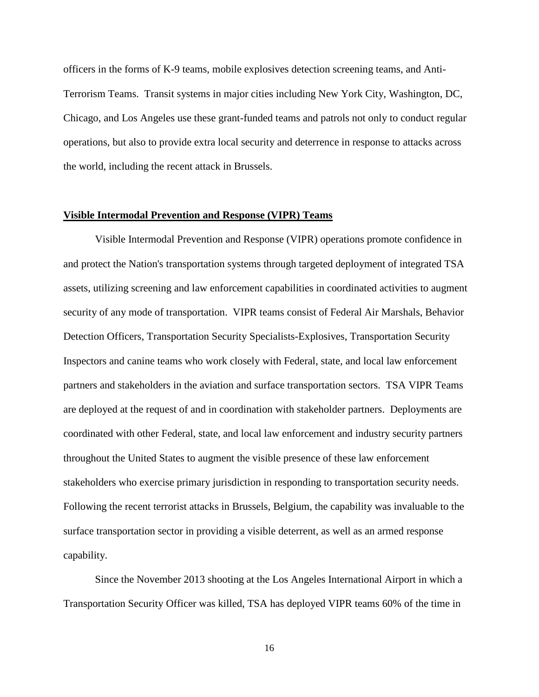officers in the forms of K-9 teams, mobile explosives detection screening teams, and Anti-Terrorism Teams. Transit systems in major cities including New York City, Washington, DC, Chicago, and Los Angeles use these grant-funded teams and patrols not only to conduct regular operations, but also to provide extra local security and deterrence in response to attacks across the world, including the recent attack in Brussels.

#### **Visible Intermodal Prevention and Response (VIPR) Teams**

Visible Intermodal Prevention and Response (VIPR) operations promote confidence in and protect the Nation's transportation systems through targeted deployment of integrated TSA assets, utilizing screening and law enforcement capabilities in coordinated activities to augment security of any mode of transportation. VIPR teams consist of Federal Air Marshals, Behavior Detection Officers, Transportation Security Specialists-Explosives, Transportation Security Inspectors and canine teams who work closely with Federal, state, and local law enforcement partners and stakeholders in the aviation and surface transportation sectors. TSA VIPR Teams are deployed at the request of and in coordination with stakeholder partners. Deployments are coordinated with other Federal, state, and local law enforcement and industry security partners throughout the United States to augment the visible presence of these law enforcement stakeholders who exercise primary jurisdiction in responding to transportation security needs. Following the recent terrorist attacks in Brussels, Belgium, the capability was invaluable to the surface transportation sector in providing a visible deterrent, as well as an armed response capability.

Since the November 2013 shooting at the Los Angeles International Airport in which a Transportation Security Officer was killed, TSA has deployed VIPR teams 60% of the time in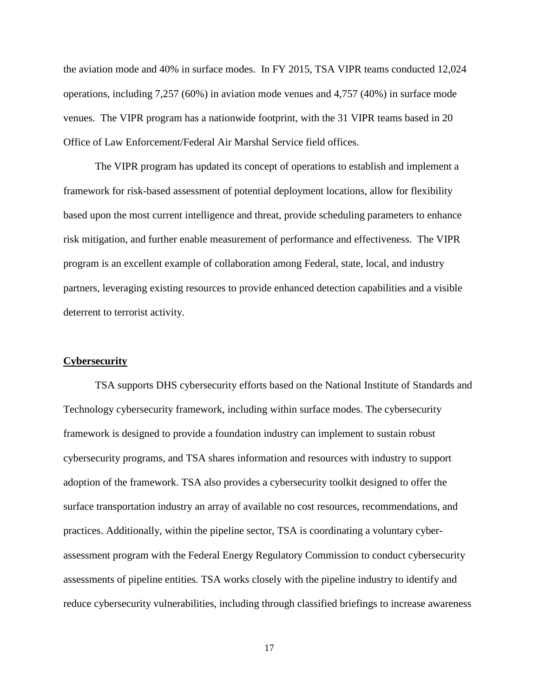the aviation mode and 40% in surface modes. In FY 2015, TSA VIPR teams conducted 12,024 operations, including 7,257 (60%) in aviation mode venues and 4,757 (40%) in surface mode venues. The VIPR program has a nationwide footprint, with the 31 VIPR teams based in 20 Office of Law Enforcement/Federal Air Marshal Service field offices.

The VIPR program has updated its concept of operations to establish and implement a framework for risk-based assessment of potential deployment locations, allow for flexibility based upon the most current intelligence and threat, provide scheduling parameters to enhance risk mitigation, and further enable measurement of performance and effectiveness. The VIPR program is an excellent example of collaboration among Federal, state, local, and industry partners, leveraging existing resources to provide enhanced detection capabilities and a visible deterrent to terrorist activity.

#### **Cybersecurity**

TSA supports DHS cybersecurity efforts based on the National Institute of Standards and Technology cybersecurity framework, including within surface modes. The cybersecurity framework is designed to provide a foundation industry can implement to sustain robust cybersecurity programs, and TSA shares information and resources with industry to support adoption of the framework. TSA also provides a cybersecurity toolkit designed to offer the surface transportation industry an array of available no cost resources, recommendations, and practices. Additionally, within the pipeline sector, TSA is coordinating a voluntary cyberassessment program with the Federal Energy Regulatory Commission to conduct cybersecurity assessments of pipeline entities. TSA works closely with the pipeline industry to identify and reduce cybersecurity vulnerabilities, including through classified briefings to increase awareness